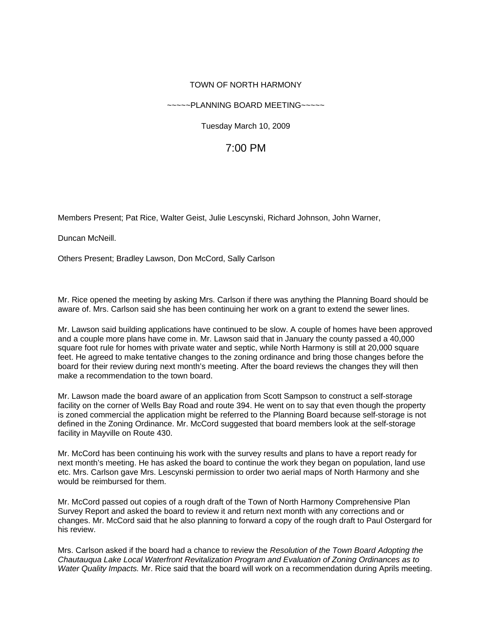### TOWN OF NORTH HARMONY

#### ~~~~~PLANNING BOARD MEETING~~~~~

Tuesday March 10, 2009

# 7:00 PM

Members Present; Pat Rice, Walter Geist, Julie Lescynski, Richard Johnson, John Warner,

Duncan McNeill.

Others Present; Bradley Lawson, Don McCord, Sally Carlson

Mr. Rice opened the meeting by asking Mrs. Carlson if there was anything the Planning Board should be aware of. Mrs. Carlson said she has been continuing her work on a grant to extend the sewer lines.

Mr. Lawson said building applications have continued to be slow. A couple of homes have been approved and a couple more plans have come in. Mr. Lawson said that in January the county passed a 40,000 square foot rule for homes with private water and septic, while North Harmony is still at 20,000 square feet. He agreed to make tentative changes to the zoning ordinance and bring those changes before the board for their review during next month's meeting. After the board reviews the changes they will then make a recommendation to the town board.

Mr. Lawson made the board aware of an application from Scott Sampson to construct a self-storage facility on the corner of Wells Bay Road and route 394. He went on to say that even though the property is zoned commercial the application might be referred to the Planning Board because self-storage is not defined in the Zoning Ordinance. Mr. McCord suggested that board members look at the self-storage facility in Mayville on Route 430.

Mr. McCord has been continuing his work with the survey results and plans to have a report ready for next month's meeting. He has asked the board to continue the work they began on population, land use etc. Mrs. Carlson gave Mrs. Lescynski permission to order two aerial maps of North Harmony and she would be reimbursed for them.

Mr. McCord passed out copies of a rough draft of the Town of North Harmony Comprehensive Plan Survey Report and asked the board to review it and return next month with any corrections and or changes. Mr. McCord said that he also planning to forward a copy of the rough draft to Paul Ostergard for his review.

Mrs. Carlson asked if the board had a chance to review the *Resolution of the Town Board Adopting the Chautauqua Lake Local Waterfront Revitalization Program and Evaluation of Zoning Ordinances as to Water Quality Impacts.* Mr. Rice said that the board will work on a recommendation during Aprils meeting.